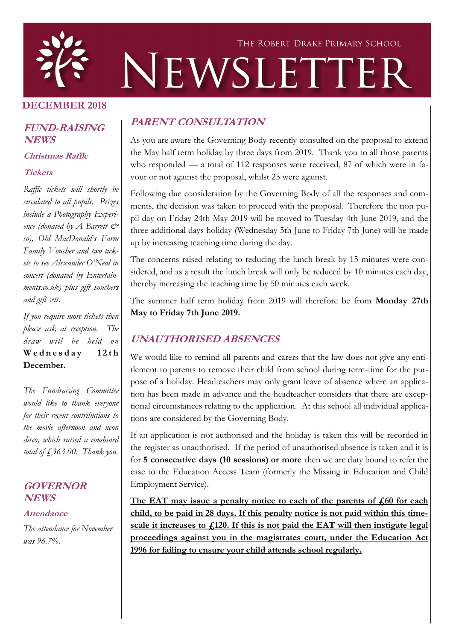

#### **DECEMBER 2018**

#### **FUND-RAISING NEWS**

**Christmas Raffle** 

#### **Tickets**

*Raffle tickets will shortly be circulated to all pupils. Prizes include a Photography Experience (donated by A Barrett*  $\mathcal{C}^*$ *co), Old MacDonald's Farm Family Voucher and two tickets to see Alexander O'Neal in concert (donated by Entertainments.co.uk) plus gift vouchers and gift sets.* 

*If you require more tickets then please ask at reception. The draw will be held on*  **W e d n e s d a y 1 2 t h December.**

*The Fundraising Committee would like to thank everyone for their recent contributions to the movie afternoon and neon disco, which raised a combined total of £363.00. Thank you.*

#### **GOVERNOR NEWS**

#### **Attendance**

*The attendance for November was 96.7%.* 

#### **PARENT CONSULTATION**

As you are aware the Governing Body recently consulted on the proposal to extend the May half term holiday by three days from 2019. Thank you to all those parents who responded — a total of 112 responses were received, 87 of which were in favour or not against the proposal, whilst 25 were against.

Following due consideration by the Governing Body of all the responses and comments, the decision was taken to proceed with the proposal. Therefore the non pupil day on Friday 24th May 2019 will be moved to Tuesday 4th June 2019, and the three additional days holiday (Wednesday 5th June to Friday 7th June) will be made up by increasing teaching time during the day.

The concerns raised relating to reducing the lunch break by 15 minutes were considered, and as a result the lunch break will only be reduced by 10 minutes each day, thereby increasing the teaching time by 50 minutes each week.

The summer half term holiday from 2019 will therefore be from **Monday 27th May to Friday 7th June 2019.**

## **UNAUTHORISED ABSENCES**

We would like to remind all parents and carers that the law does not give any entitlement to parents to remove their child from school during term-time for the purpose of a holiday. Headteachers may only grant leave of absence where an application has been made in advance and the headteacher considers that there are exceptional circumstances relating to the application. At this school all individual applications are considered by the Governing Body.

If an application is not authorised and the holiday is taken this will be recorded in the register as unauthorised. If the period of unauthorised absence is taken and it is for **5 consecutive days (10 sessions) or more** then we are duty bound to refer the case to the Education Access Team (formerly the Missing in Education and Child Employment Service).

The EAT may issue a penalty notice to each of the parents of  $\text{\emph{f}}_0$  for each **child, to be paid in 28 days. If this penalty notice is not paid within this timescale it increases to £120. If this is not paid the EAT will then instigate legal proceedings against you in the magistrates court, under the Education Act 1996 for failing to ensure your child attends school regularly.**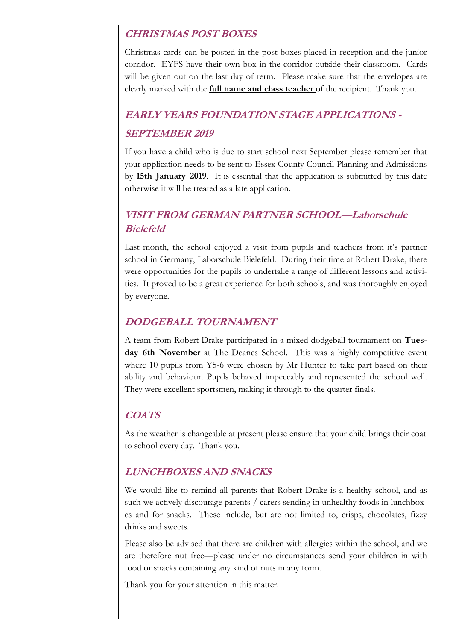#### **CHRISTMAS POST BOXES**

Christmas cards can be posted in the post boxes placed in reception and the junior corridor. EYFS have their own box in the corridor outside their classroom. Cards will be given out on the last day of term. Please make sure that the envelopes are clearly marked with the **full name and class teacher** of the recipient. Thank you.

# **EARLY YEARS FOUNDATION STAGE APPLICATIONS - SEPTEMBER 2019**

If you have a child who is due to start school next September please remember that your application needs to be sent to Essex County Council Planning and Admissions by **15th January 2019**. It is essential that the application is submitted by this date otherwise it will be treated as a late application.

# **VISIT FROM GERMAN PARTNER SCHOOL—Laborschule Bielefeld**

Last month, the school enjoyed a visit from pupils and teachers from it's partner school in Germany, Laborschule Bielefeld. During their time at Robert Drake, there were opportunities for the pupils to undertake a range of different lessons and activities. It proved to be a great experience for both schools, and was thoroughly enjoyed by everyone.

## **DODGEBALL TOURNAMENT**

A team from Robert Drake participated in a mixed dodgeball tournament on **Tuesday 6th November** at The Deanes School. This was a highly competitive event where 10 pupils from Y5-6 were chosen by Mr Hunter to take part based on their ability and behaviour. Pupils behaved impeccably and represented the school well. They were excellent sportsmen, making it through to the quarter finals.

#### **COATS**

As the weather is changeable at present please ensure that your child brings their coat to school every day. Thank you.

## **LUNCHBOXES AND SNACKS**

We would like to remind all parents that Robert Drake is a healthy school, and as such we actively discourage parents / carers sending in unhealthy foods in lunchboxes and for snacks. These include, but are not limited to, crisps, chocolates, fizzy drinks and sweets.

Please also be advised that there are children with allergies within the school, and we are therefore nut free—please under no circumstances send your children in with food or snacks containing any kind of nuts in any form.

Thank you for your attention in this matter.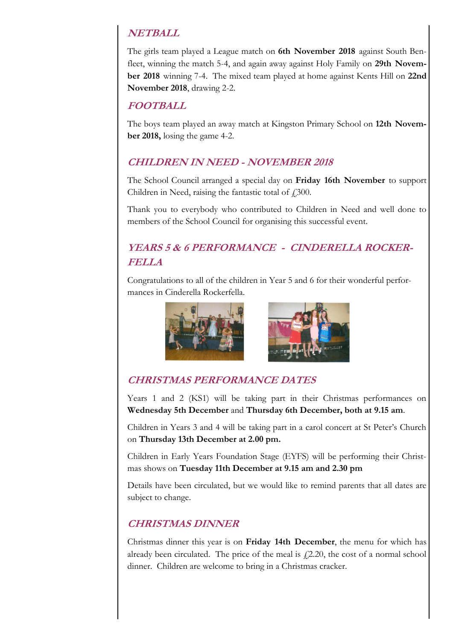# **NETBALL**

The girls team played a League match on **6th November 2018** against South Benfleet, winning the match 5-4, and again away against Holy Family on **29th November 2018** winning 7-4. The mixed team played at home against Kents Hill on **22nd November 2018**, drawing 2-2.

## **FOOTBALL**

The boys team played an away match at Kingston Primary School on **12th November 2018,** losing the game 4-2.

## **CHILDREN IN NEED - NOVEMBER 2018**

The School Council arranged a special day on **Friday 16th November** to support Children in Need, raising the fantastic total of  $f$ , 300.

Thank you to everybody who contributed to Children in Need and well done to members of the School Council for organising this successful event.

# **YEARS 5 & 6 PERFORMANCE - CINDERELLA ROCKER-FELLA**

Congratulations to all of the children in Year 5 and 6 for their wonderful performances in Cinderella Rockerfella.



# **CHRISTMAS PERFORMANCE DATES**

Years 1 and 2 (KS1) will be taking part in their Christmas performances on **Wednesday 5th December** and **Thursday 6th December, both at 9.15 am**.

Children in Years 3 and 4 will be taking part in a carol concert at St Peter's Church on **Thursday 13th December at 2.00 pm.** 

Children in Early Years Foundation Stage (EYFS) will be performing their Christmas shows on **Tuesday 11th December at 9.15 am and 2.30 pm**

Details have been circulated, but we would like to remind parents that all dates are subject to change.

# **CHRISTMAS DINNER**

Christmas dinner this year is on **Friday 14th December**, the menu for which has already been circulated. The price of the meal is  $f(2.20)$ , the cost of a normal school dinner. Children are welcome to bring in a Christmas cracker.